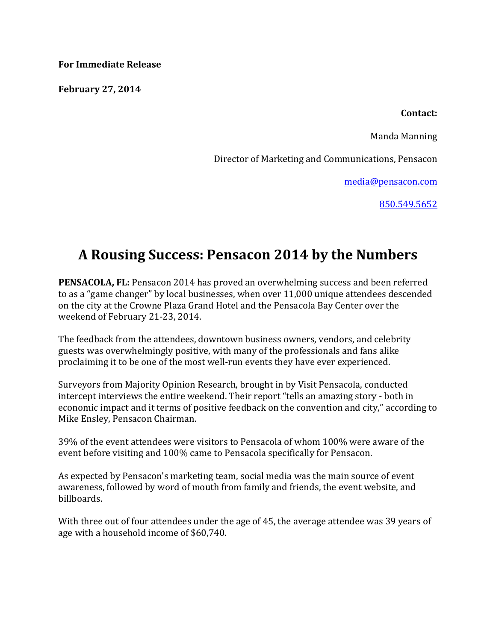**For Immediate Release**

**February 27, 2014**

**Contact:**

Manda Manning

Director of Marketing and Communications, Pensacon

media@pensacon.com

850.549.5652

## A Rousing Success: Pensacon 2014 by the Numbers

**PENSACOLA, FL:** Pensacon 2014 has proved an overwhelming success and been referred to as a "game changer" by local businesses, when over 11,000 unique attendees descended on the city at the Crowne Plaza Grand Hotel and the Pensacola Bay Center over the weekend of February 21-23, 2014.

The feedback from the attendees, downtown business owners, vendors, and celebrity guests was overwhelmingly positive, with many of the professionals and fans alike proclaiming it to be one of the most well-run events they have ever experienced.

Surveyors from Majority Opinion Research, brought in by Visit Pensacola, conducted intercept interviews the entire weekend. Their report "tells an amazing story - both in economic impact and it terms of positive feedback on the convention and city," according to Mike Ensley, Pensacon Chairman.

39% of the event attendees were visitors to Pensacola of whom 100% were aware of the event before visiting and 100% came to Pensacola specifically for Pensacon.

As expected by Pensacon's marketing team, social media was the main source of event awareness, followed by word of mouth from family and friends, the event website, and billboards. 

With three out of four attendees under the age of 45, the average attendee was 39 years of age with a household income of \$60,740.